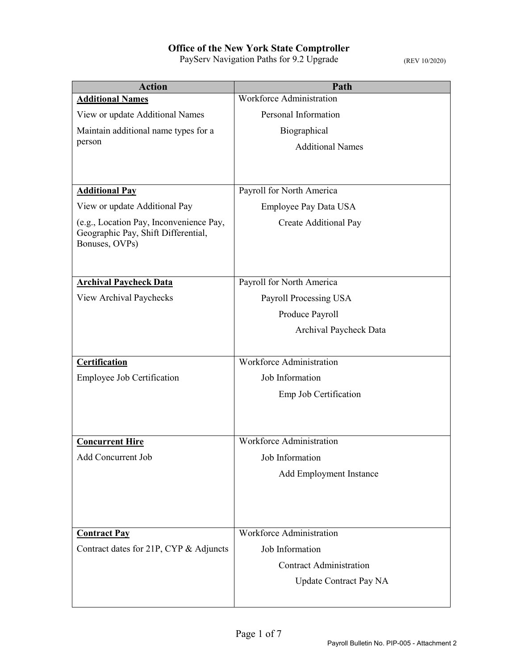| <b>Action</b>                                                                                    | Path                            |
|--------------------------------------------------------------------------------------------------|---------------------------------|
| <b>Additional Names</b>                                                                          | Workforce Administration        |
| View or update Additional Names                                                                  | Personal Information            |
| Maintain additional name types for a                                                             | Biographical                    |
| person                                                                                           | <b>Additional Names</b>         |
|                                                                                                  |                                 |
|                                                                                                  |                                 |
| <b>Additional Pay</b>                                                                            | Payroll for North America       |
| View or update Additional Pay                                                                    | Employee Pay Data USA           |
| (e.g., Location Pay, Inconvenience Pay,<br>Geographic Pay, Shift Differential,<br>Bonuses, OVPs) | Create Additional Pay           |
| <b>Archival Paycheck Data</b>                                                                    | Payroll for North America       |
| View Archival Paychecks                                                                          | Payroll Processing USA          |
|                                                                                                  | Produce Payroll                 |
|                                                                                                  | Archival Paycheck Data          |
|                                                                                                  |                                 |
| Certification                                                                                    | <b>Workforce Administration</b> |
| <b>Employee Job Certification</b>                                                                | Job Information                 |
|                                                                                                  | Emp Job Certification           |
|                                                                                                  |                                 |
|                                                                                                  |                                 |
| <b>Concurrent Hire</b>                                                                           | <b>Workforce Administration</b> |
| Add Concurrent Job                                                                               | Job Information                 |
|                                                                                                  | Add Employment Instance         |
|                                                                                                  |                                 |
|                                                                                                  |                                 |
| <b>Contract Pay</b>                                                                              | Workforce Administration        |
| Contract dates for 21P, CYP & Adjuncts                                                           | Job Information                 |
|                                                                                                  | <b>Contract Administration</b>  |
|                                                                                                  | <b>Update Contract Pay NA</b>   |
|                                                                                                  |                                 |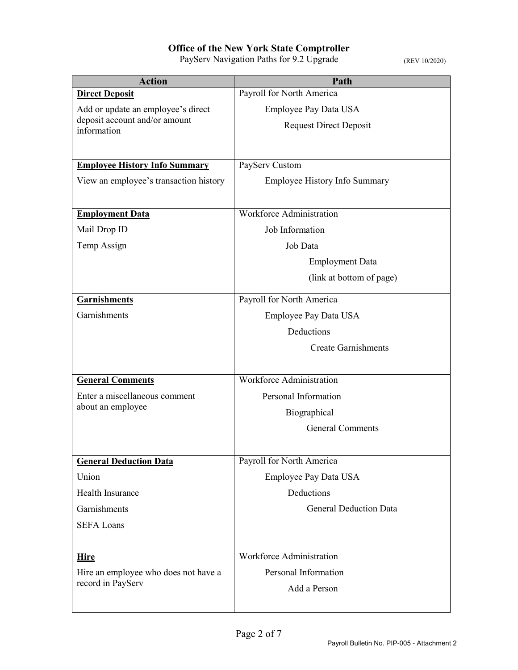| <b>Action</b>                                | Path                                 |
|----------------------------------------------|--------------------------------------|
| <b>Direct Deposit</b>                        | Payroll for North America            |
| Add or update an employee's direct           | Employee Pay Data USA                |
| deposit account and/or amount<br>information | <b>Request Direct Deposit</b>        |
|                                              |                                      |
| <b>Employee History Info Summary</b>         | PayServ Custom                       |
|                                              |                                      |
| View an employee's transaction history       | <b>Employee History Info Summary</b> |
| <b>Employment Data</b>                       | <b>Workforce Administration</b>      |
| Mail Drop ID                                 | Job Information                      |
| Temp Assign                                  | Job Data                             |
|                                              | <b>Employment Data</b>               |
|                                              | (link at bottom of page)             |
|                                              |                                      |
| <b>Garnishments</b>                          | Payroll for North America            |
| Garnishments                                 | Employee Pay Data USA                |
|                                              | Deductions                           |
|                                              | <b>Create Garnishments</b>           |
|                                              |                                      |
| <b>General Comments</b>                      | <b>Workforce Administration</b>      |
| Enter a miscellaneous comment                | Personal Information                 |
| about an employee                            | Biographical                         |
|                                              | <b>General Comments</b>              |
|                                              |                                      |
| <b>General Deduction Data</b>                | Payroll for North America            |
| Union                                        | Employee Pay Data USA                |
| <b>Health Insurance</b>                      | Deductions                           |
| Garnishments                                 | <b>General Deduction Data</b>        |
| <b>SEFA Loans</b>                            |                                      |
|                                              |                                      |
| <b>Hire</b>                                  | <b>Workforce Administration</b>      |
| Hire an employee who does not have a         | Personal Information                 |
| record in PayServ                            | Add a Person                         |
|                                              |                                      |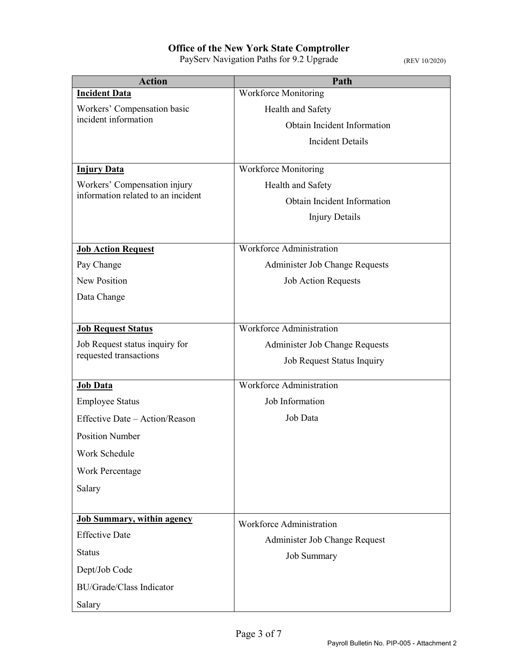| <b>Action</b>                                                      | Path                            |
|--------------------------------------------------------------------|---------------------------------|
| <b>Incident Data</b>                                               | <b>Workforce Monitoring</b>     |
| Workers' Compensation basic                                        | Health and Safety               |
| incident information                                               | Obtain Incident Information     |
|                                                                    | <b>Incident Details</b>         |
|                                                                    |                                 |
| <b>Injury Data</b>                                                 | <b>Workforce Monitoring</b>     |
| Workers' Compensation injury<br>information related to an incident | Health and Safety               |
|                                                                    | Obtain Incident Information     |
|                                                                    | <b>Injury Details</b>           |
| <b>Job Action Request</b>                                          | <b>Workforce Administration</b> |
| Pay Change                                                         | Administer Job Change Requests  |
| New Position                                                       | <b>Job Action Requests</b>      |
| Data Change                                                        |                                 |
|                                                                    |                                 |
| <b>Job Request Status</b>                                          | Workforce Administration        |
| Job Request status inquiry for                                     | Administer Job Change Requests  |
| requested transactions                                             | Job Request Status Inquiry      |
| Job Data                                                           | <b>Workforce Administration</b> |
| <b>Employee Status</b>                                             | Job Information                 |
| Effective Date - Action/Reason                                     | Job Data                        |
| <b>Position Number</b>                                             |                                 |
| Work Schedule                                                      |                                 |
| <b>Work Percentage</b>                                             |                                 |
| Salary                                                             |                                 |
|                                                                    |                                 |
| <b>Job Summary, within agency</b>                                  | Workforce Administration        |
| <b>Effective Date</b>                                              | Administer Job Change Request   |
| <b>Status</b>                                                      | <b>Job Summary</b>              |
| Dept/Job Code                                                      |                                 |
| <b>BU/Grade/Class Indicator</b>                                    |                                 |
| Salary                                                             |                                 |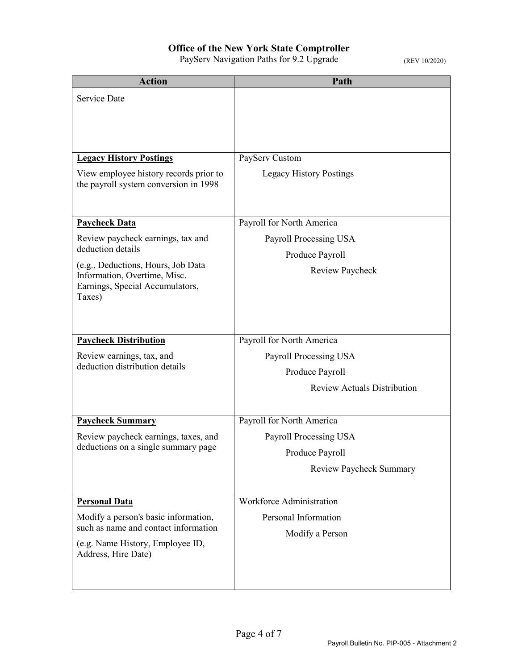| <b>Action</b>                                                                                                   | Path                                                                                                         |
|-----------------------------------------------------------------------------------------------------------------|--------------------------------------------------------------------------------------------------------------|
| <b>Service Date</b>                                                                                             |                                                                                                              |
|                                                                                                                 |                                                                                                              |
|                                                                                                                 |                                                                                                              |
|                                                                                                                 |                                                                                                              |
| <b>Legacy History Postings</b>                                                                                  | PayServ Custom                                                                                               |
| View employee history records prior to<br>the payroll system conversion in 1998                                 | <b>Legacy History Postings</b>                                                                               |
| <b>Paycheck Data</b>                                                                                            | Payroll for North America                                                                                    |
| Review paycheck earnings, tax and                                                                               | Payroll Processing USA                                                                                       |
| deduction details                                                                                               | Produce Payroll                                                                                              |
| (e.g., Deductions, Hours, Job Data<br>Information, Overtime, Misc.<br>Earnings, Special Accumulators,<br>Taxes) | Review Paycheck                                                                                              |
| <b>Paycheck Distribution</b><br>Review earnings, tax, and<br>deduction distribution details                     | Payroll for North America<br>Payroll Processing USA<br>Produce Payroll<br><b>Review Actuals Distribution</b> |
| <b>Paycheck Summary</b>                                                                                         | Payroll for North America                                                                                    |
| Review paycheck earnings, taxes, and                                                                            | Payroll Processing USA                                                                                       |
| deductions on a single summary page                                                                             | Produce Payroll                                                                                              |
|                                                                                                                 | <b>Review Paycheck Summary</b>                                                                               |
| <b>Personal Data</b>                                                                                            | Workforce Administration                                                                                     |
| Modify a person's basic information,                                                                            | Personal Information                                                                                         |
| such as name and contact information<br>(e.g. Name History, Employee ID,<br>Address, Hire Date)                 | Modify a Person                                                                                              |
|                                                                                                                 |                                                                                                              |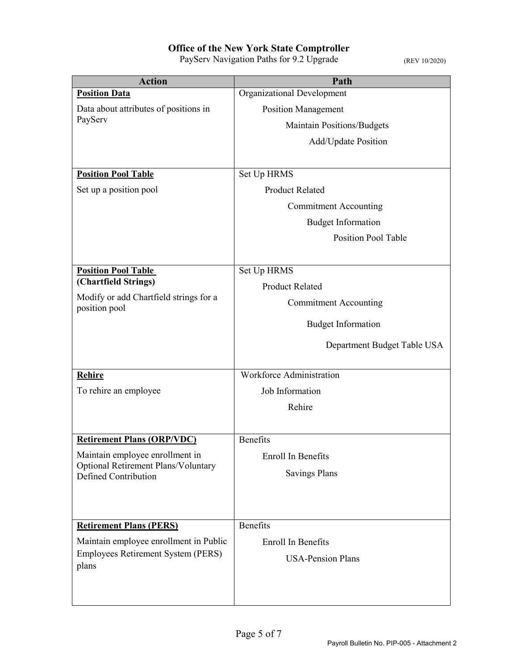| <b>Action</b>                                                      | Path                              |
|--------------------------------------------------------------------|-----------------------------------|
| <b>Position Data</b>                                               | Organizational Development        |
| Data about attributes of positions in                              | <b>Position Management</b>        |
| PayServ                                                            | <b>Maintain Positions/Budgets</b> |
|                                                                    | Add/Update Position               |
|                                                                    |                                   |
| <b>Position Pool Table</b>                                         | Set Up HRMS                       |
| Set up a position pool                                             | <b>Product Related</b>            |
|                                                                    | <b>Commitment Accounting</b>      |
|                                                                    | <b>Budget Information</b>         |
|                                                                    | <b>Position Pool Table</b>        |
|                                                                    |                                   |
| <b>Position Pool Table</b>                                         | Set Up HRMS                       |
| (Chartfield Strings)                                               | <b>Product Related</b>            |
| Modify or add Chartfield strings for a<br>position pool            | <b>Commitment Accounting</b>      |
|                                                                    | <b>Budget Information</b>         |
|                                                                    |                                   |
|                                                                    | Department Budget Table USA       |
| Rehire                                                             | <b>Workforce Administration</b>   |
| To rehire an employee                                              | Job Information                   |
|                                                                    | Rehire                            |
|                                                                    |                                   |
| <b>Retirement Plans (ORP/VDC)</b>                                  | <b>Benefits</b>                   |
| Maintain employee enrollment in                                    | <b>Enroll In Benefits</b>         |
| <b>Optional Retirement Plans/Voluntary</b><br>Defined Contribution | <b>Savings Plans</b>              |
|                                                                    |                                   |
|                                                                    |                                   |
| <b>Retirement Plans (PERS)</b>                                     | Benefits                          |
| Maintain employee enrollment in Public                             | Enroll In Benefits                |
| Employees Retirement System (PERS)                                 | <b>USA-Pension Plans</b>          |
| plans                                                              |                                   |
|                                                                    |                                   |
|                                                                    |                                   |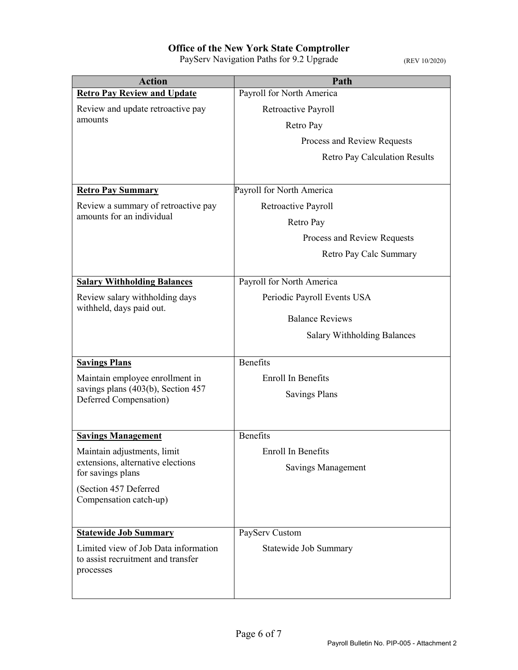| <b>Action</b>                                                              | Path                               |
|----------------------------------------------------------------------------|------------------------------------|
| <b>Retro Pay Review and Update</b>                                         | Payroll for North America          |
| Review and update retroactive pay<br>amounts                               | Retroactive Payroll                |
|                                                                            | Retro Pay                          |
|                                                                            | Process and Review Requests        |
|                                                                            | Retro Pay Calculation Results      |
|                                                                            |                                    |
| <b>Retro Pay Summary</b>                                                   | Payroll for North America          |
| Review a summary of retroactive pay                                        | Retroactive Payroll                |
| amounts for an individual                                                  | Retro Pay                          |
|                                                                            | Process and Review Requests        |
|                                                                            | Retro Pay Calc Summary             |
|                                                                            |                                    |
| <b>Salary Withholding Balances</b>                                         | Payroll for North America          |
| Review salary withholding days                                             | Periodic Payroll Events USA        |
| withheld, days paid out.                                                   | <b>Balance Reviews</b>             |
|                                                                            | <b>Salary Withholding Balances</b> |
|                                                                            |                                    |
| <b>Savings Plans</b>                                                       | Benefits                           |
| Maintain employee enrollment in                                            | Enroll In Benefits                 |
| savings plans (403(b), Section 457<br>Deferred Compensation)               | <b>Savings Plans</b>               |
|                                                                            |                                    |
|                                                                            |                                    |
| <b>Savings Management</b>                                                  | Benefits                           |
| Maintain adjustments, limit<br>extensions, alternative elections           | Enroll In Benefits                 |
| for savings plans                                                          | Savings Management                 |
| (Section 457 Deferred                                                      |                                    |
| Compensation catch-up)                                                     |                                    |
|                                                                            |                                    |
| <b>Statewide Job Summary</b>                                               | PayServ Custom                     |
| Limited view of Job Data information<br>to assist recruitment and transfer | Statewide Job Summary              |
| processes                                                                  |                                    |
|                                                                            |                                    |
|                                                                            |                                    |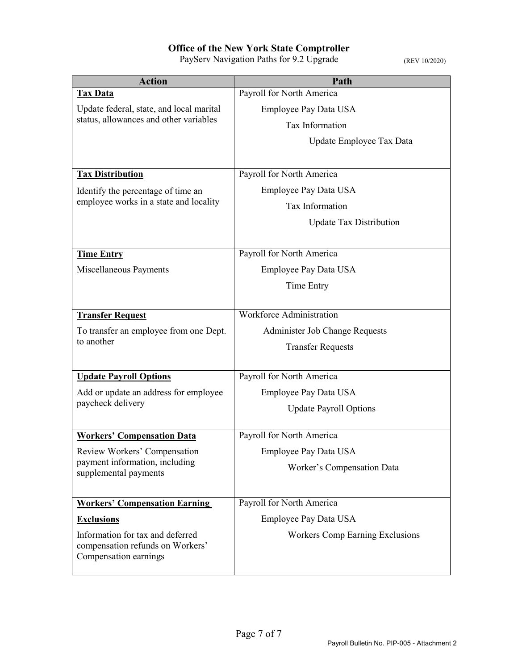| <b>Action</b>                                                                      | Path                            |
|------------------------------------------------------------------------------------|---------------------------------|
| <b>Tax Data</b>                                                                    | Payroll for North America       |
| Update federal, state, and local marital<br>status, allowances and other variables | Employee Pay Data USA           |
|                                                                                    | Tax Information                 |
|                                                                                    | Update Employee Tax Data        |
|                                                                                    |                                 |
| <b>Tax Distribution</b>                                                            | Payroll for North America       |
| Identify the percentage of time an                                                 | Employee Pay Data USA           |
| employee works in a state and locality                                             | Tax Information                 |
|                                                                                    | <b>Update Tax Distribution</b>  |
|                                                                                    |                                 |
| <b>Time Entry</b>                                                                  | Payroll for North America       |
| Miscellaneous Payments                                                             | Employee Pay Data USA           |
|                                                                                    | Time Entry                      |
|                                                                                    |                                 |
| <b>Transfer Request</b>                                                            | Workforce Administration        |
| To transfer an employee from one Dept.                                             | Administer Job Change Requests  |
| to another                                                                         | <b>Transfer Requests</b>        |
|                                                                                    |                                 |
| <b>Update Payroll Options</b>                                                      | Payroll for North America       |
| Add or update an address for employee                                              | Employee Pay Data USA           |
| paycheck delivery                                                                  | <b>Update Payroll Options</b>   |
|                                                                                    |                                 |
| <b>Workers' Compensation Data</b>                                                  | Payroll for North America       |
| Review Workers' Compensation<br>payment information, including                     | Employee Pay Data USA           |
| supplemental payments                                                              | Worker's Compensation Data      |
|                                                                                    |                                 |
| <b>Workers' Compensation Earning</b>                                               | Payroll for North America       |
| <b>Exclusions</b>                                                                  | Employee Pay Data USA           |
| Information for tax and deferred                                                   | Workers Comp Earning Exclusions |
| compensation refunds on Workers'<br>Compensation earnings                          |                                 |
|                                                                                    |                                 |